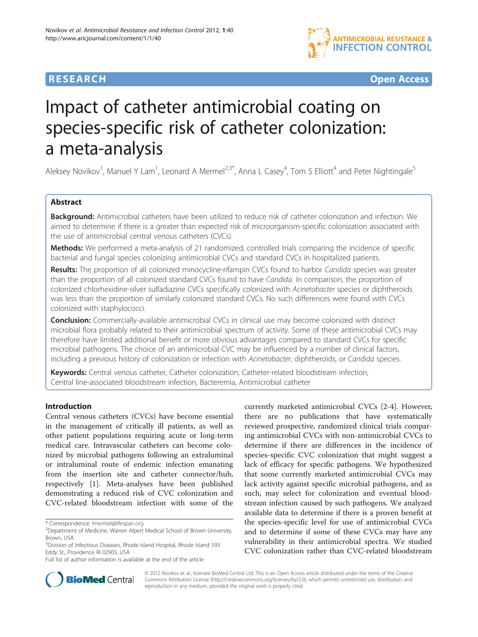



# Impact of catheter antimicrobial coating on species-specific risk of catheter colonization: a meta-analysis

Aleksey Novikov<sup>1</sup>, Manuel Y Lam<sup>1</sup>, Leonard A Mermel<sup>2,3\*</sup>, Anna L Casey<sup>4</sup>, Tom S Elliott<sup>4</sup> and Peter Nightingale<sup>5</sup>

# Abstract

Background: Antimicrobial catheters have been utilized to reduce risk of catheter colonization and infection. We aimed to determine if there is a greater than expected risk of microorganism-specific colonization associated with the use of antimicrobial central venous catheters (CVCs).

Methods: We performed a meta-analysis of 21 randomized, controlled trials comparing the incidence of specific bacterial and fungal species colonizing antimicrobial CVCs and standard CVCs in hospitalized patients.

Results: The proportion of all colonized minocycline-rifampin CVCs found to harbor Candida species was greater than the proportion of all colonized standard CVCs found to have Candida. In comparison, the proportion of colonized chlorhexidine-silver sulfadiazine CVCs specifically colonized with Acinetobacter species or diphtheroids was less than the proportion of similarly colonized standard CVCs. No such differences were found with CVCs colonized with staphylococci.

**Conclusion:** Commercially-available antimicrobial CVCs in clinical use may become colonized with distinct microbial flora probably related to their antimicrobial spectrum of activity. Some of these antimicrobial CVCs may therefore have limited additional benefit or more obvious advantages compared to standard CVCs for specific microbial pathogens. The choice of an antimicrobial CVC may be influenced by a number of clinical factors, including a previous history of colonization or infection with Acinetobacter, diphtheroids, or Candida species.

Keywords: Central venous catheter, Catheter colonization, Catheter-related bloodstream infection, Central line-associated bloodstream infection, Bacteremia, Antimicrobial catheter

# Introduction

Central venous catheters (CVCs) have become essential in the management of critically ill patients, as well as other patient populations requiring acute or long-term medical care. Intravascular catheters can become colonized by microbial pathogens following an extraluminal or intraluminal route of endemic infection emanating from the insertion site and catheter connector/hub, respectively [[1\]](#page-8-0). Meta-analyses have been published demonstrating a reduced risk of CVC colonization and CVC-related bloodstream infection with some of the

currently marketed antimicrobial CVCs [[2-4](#page-8-0)]. However, there are no publications that have systematically reviewed prospective, randomized clinical trials comparing antimicrobial CVCs with non-antimicrobial CVCs to determine if there are differences in the incidence of species-specific CVC colonization that might suggest a lack of efficacy for specific pathogens. We hypothesized that some currently marketed antimicrobial CVCs may lack activity against specific microbial pathogens, and as such, may select for colonization and eventual bloodstream infection caused by such pathogens. We analyzed available data to determine if there is a proven benefit at the species-specific level for use of antimicrobial CVCs and to determine if some of these CVCs may have any vulnerability in their antimicrobial spectra. We studied CVC colonization rather than CVC-related bloodstream



© 2012 Novikov et al.; licensee BioMed Central Ltd. This is an Open Access article distributed under the terms of the Creative Commons Attribution License [\(http://creativecommons.org/licenses/by/2.0\)](http://creativecommons.org/licenses/by/2.0), which permits unrestricted use, distribution, and reproduction in any medium, provided the original work is properly cited.

<sup>\*</sup> Correspondence: [lmermel@lifespan.org](mailto:lmermel@lifespan.org) <sup>2</sup>

<sup>&</sup>lt;sup>2</sup>Department of Medicine, Warren Alpert Medical School of Brown University, Brown, USA

<sup>&</sup>lt;sup>3</sup>Division of Infectious Diseases, Rhode Island Hospital, Rhode Island 593 Eddy St., Providence RI 02903, USA

Full list of author information is available at the end of the article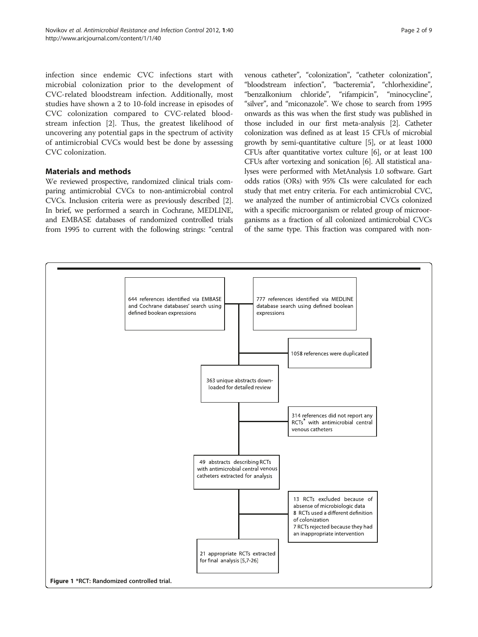<span id="page-1-0"></span>infection since endemic CVC infections start with microbial colonization prior to the development of CVC-related bloodstream infection. Additionally, most studies have shown a 2 to 10-fold increase in episodes of CVC colonization compared to CVC-related bloodstream infection [\[2\]](#page-8-0). Thus, the greatest likelihood of uncovering any potential gaps in the spectrum of activity of antimicrobial CVCs would best be done by assessing CVC colonization.

# Materials and methods

We reviewed prospective, randomized clinical trials comparing antimicrobial CVCs to non-antimicrobial control CVCs. Inclusion criteria were as previously described [[2](#page-8-0)]. In brief, we performed a search in Cochrane, MEDLINE, and EMBASE databases of randomized controlled trials from 1995 to current with the following strings: "central venous catheter", "colonization", "catheter colonization", "bloodstream infection", "bacteremia", "chlorhexidine", "benzalkonium chloride", "rifampicin", "minocycline", "silver", and "miconazole". We chose to search from 1995 onwards as this was when the first study was published in those included in our first meta-analysis [\[2](#page-8-0)]. Catheter colonization was defined as at least 15 CFUs of microbial growth by semi-quantitative culture [\[5\]](#page-8-0), or at least 1000 CFUs after quantitative vortex culture [\[6](#page-8-0)], or at least 100 CFUs after vortexing and sonication [[6](#page-8-0)]. All statistical analyses were performed with MetAnalysis 1.0 software. Gart odds ratios (ORs) with 95% CIs were calculated for each study that met entry criteria. For each antimicrobial CVC, we analyzed the number of antimicrobial CVCs colonized with a specific microorganism or related group of microorganisms as a fraction of all colonized antimicrobial CVCs of the same type. This fraction was compared with non-

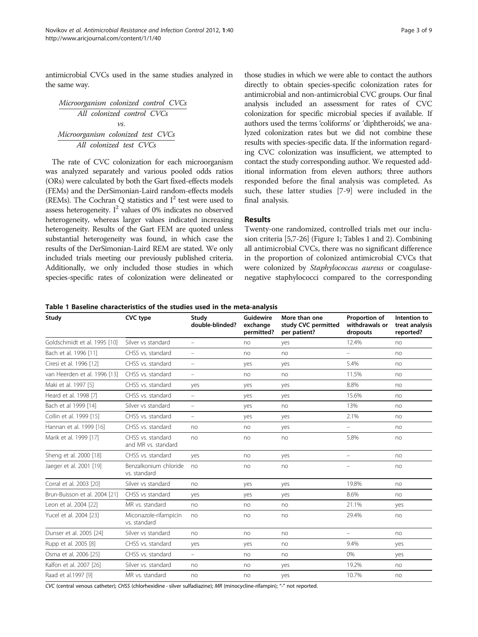antimicrobial CVCs used in the same studies analyzed in the same way.

Microorganism colonized control CVCs All colonized control CVCs vs: Microorganism colonized test CVCs All colonized test CVCs

The rate of CVC colonization for each microorganism was analyzed separately and various pooled odds ratios (ORs) were calculated by both the Gart fixed-effects models (FEMs) and the DerSimonian-Laird random-effects models (REMs). The Cochran Q statistics and  $I^2$  test were used to assess heterogeneity.  $I^2$  values of 0% indicates no observed heterogeneity, whereas larger values indicated increasing heterogeneity. Results of the Gart FEM are quoted unless substantial heterogeneity was found, in which case the results of the DerSimonian-Laird REM are stated. We only included trials meeting our previously published criteria. Additionally, we only included those studies in which species-specific rates of colonization were delineated or

those studies in which we were able to contact the authors directly to obtain species-specific colonization rates for antimicrobial and non-antimicrobial CVC groups. Our final analysis included an assessment for rates of CVC colonization for specific microbial species if available. If authors used the terms 'coliforms' or 'diphtheroids', we analyzed colonization rates but we did not combine these results with species-specific data. If the information regarding CVC colonization was insufficient, we attempted to contact the study corresponding author. We requested additional information from eleven authors; three authors responded before the final analysis was completed. As such, these latter studies [\[7](#page-8-0)-[9\]](#page-8-0) were included in the final analysis.

# **Results**

Twenty-one randomized, controlled trials met our inclusion criteria [[5,7](#page-8-0)-[26](#page-8-0)] (Figure [1;](#page-1-0) Tables 1 and [2\)](#page-3-0). Combining all antimicrobial CVCs, there was no significant difference in the proportion of colonized antimicrobial CVCs that were colonized by Staphylococcus aureus or coagulasenegative staphylococci compared to the corresponding

Table 1 Baseline characteristics of the studies used in the meta-analysis

| Study                         | CVC type                                 | Study<br>double-blinded? | Guidewire<br>exchange<br>permitted? | More than one<br>study CVC permitted<br>per patient? | Proportion of<br>withdrawals or<br>dropouts | Intention to<br>treat analysis<br>reported? |
|-------------------------------|------------------------------------------|--------------------------|-------------------------------------|------------------------------------------------------|---------------------------------------------|---------------------------------------------|
| Goldschmidt et al. 1995 [10]  | Silver vs standard                       | $\overline{\phantom{0}}$ | no                                  | yes                                                  | 12.4%                                       | no                                          |
| Bach et al. 1996 [11]         | CHSS vs. standard                        | $\qquad \qquad -$        | no                                  | no                                                   |                                             | no                                          |
| Ciresi et al. 1996 [12]       | CHSS vs. standard                        | $\qquad \qquad -$        | yes                                 | yes                                                  | 5.4%                                        | no                                          |
| van Heerden et al. 1996 [13]  | CHSS vs. standard                        | $\qquad \qquad -$        | no                                  | no                                                   | 11.5%                                       | no                                          |
| Maki et al. 1997 [5]          | CHSS vs. standard                        | yes                      | yes                                 | yes                                                  | 8.8%                                        | no                                          |
| Heard et al. 1998 [7]         | CHSS vs. standard                        | $\overline{\phantom{0}}$ | yes                                 | yes                                                  | 15.6%                                       | no                                          |
| Bach et al 1999 [14]          | Silver vs standard                       | $\overline{\phantom{0}}$ | yes                                 | no                                                   | 13%                                         | no                                          |
| Collin et al. 1999 [15]       | CHSS vs. standard                        | $\qquad \qquad -$        | yes                                 | yes                                                  | 2.1%                                        | no                                          |
| Hannan et al. 1999 [16]       | CHSS vs. standard                        | no                       | no                                  | yes                                                  | $\equiv$                                    | no                                          |
| Marik et al. 1999 [17]        | CHSS vs. standard<br>and MR vs. standard | no                       | no                                  | no                                                   | 5.8%                                        | no                                          |
| Sheng et al. 2000 [18]        | CHSS vs. standard                        | yes                      | no                                  | yes                                                  | $\equiv$                                    | no                                          |
| Jaeger et al. 2001 [19]       | Benzalkonium chloride<br>vs. standard    | no                       | no                                  | no                                                   | $\overline{\phantom{a}}$                    | no                                          |
| Corral et al. 2003 [20]       | Silver vs standard                       | no                       | yes                                 | yes                                                  | 19.8%                                       | no                                          |
| Brun-Buisson et al. 2004 [21] | CHSS vs standard                         | yes                      | yes                                 | yes                                                  | 8.6%                                        | no                                          |
| Leon et al. 2004 [22]         | MR vs. standard                          | no                       | no                                  | no                                                   | 21.1%                                       | yes                                         |
| Yucel et al. 2004 [23]        | Miconazole-rifampicin<br>vs. standard    | no                       | no                                  | no                                                   | 29.4%                                       | no                                          |
| Dunser et al. 2005 [24]       | Silver vs standard                       | no                       | no                                  | no                                                   | $\equiv$                                    | no                                          |
| Rupp et al. 2005 [8]          | CHSS vs. standard                        | yes                      | yes                                 | no                                                   | 9.4%                                        | yes                                         |
| Osma et al. 2006 [25]         | CHSS vs. standard                        | $\overline{\phantom{0}}$ | no                                  | no                                                   | 0%                                          | yes                                         |
| Kalfon et al. 2007 [26]       | Silver vs. standard                      | no                       | no                                  | yes                                                  | 19.2%                                       | no                                          |
| Raad et al.1997 [9]           | MR vs. standard                          | no                       | no                                  | yes                                                  | 10.7%                                       | no                                          |
|                               |                                          |                          |                                     |                                                      |                                             |                                             |

CVC (central venous catheter); CHSS (chlorhexidine - silver sulfadiazine); MR (minocycline-rifampin); "-" not reported.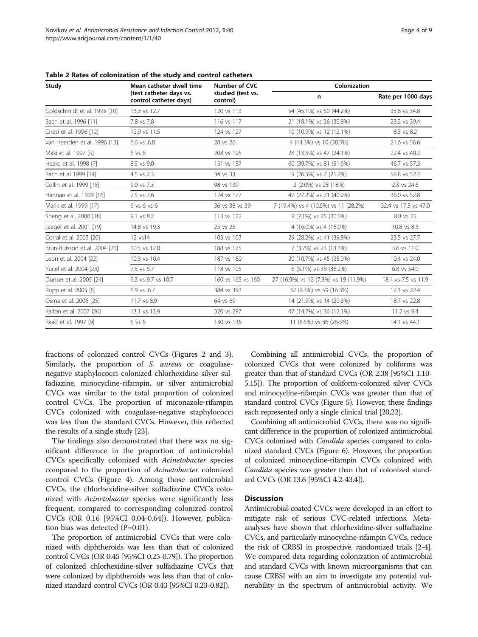| Study                         | Mean catheter dwell time                          | Number of CVC<br>studied (test vs.<br>control) | Colonization                          |                      |  |
|-------------------------------|---------------------------------------------------|------------------------------------------------|---------------------------------------|----------------------|--|
|                               | (test catheter days vs.<br>control catheter days) |                                                | n                                     | Rate per 1000 days   |  |
| Goldschmidt et al. 1995 [10]  | 13.3 vs 12.7                                      | 120 vs 113                                     | 54 (45.1%) vs 50 (44.2%)              | 33.8 vs 34.8         |  |
| Bach et al. 1996 [11]         | 7.8 vs 7.8                                        | 116 vs 117                                     | 21 (18.1%) vs 36 (30.8%)              | 23.2 vs 39.4         |  |
| Ciresi et al. 1996 [12]       | 12.9 vs 11.5                                      | 124 vs 127                                     | 10 (10.9%) vs 12 (12.1%)              | 6.3 vs 8.2           |  |
| van Heerden et al. 1996 [13]  | 6.6 vs .6.8                                       | 28 vs 26                                       | 4 (14.3%) vs 10 (38.5%)               | 21.6 vs 56.6         |  |
| Maki et al. 1997 [5]          | 6 vs 6                                            | 208 vs 195                                     | 28 (13.5%) vs 47 (24.1%)              | 22.4 vs 40.2         |  |
| Heard et al. 1998 [7]         | 8.5 vs 9.0                                        | 151 vs 157                                     | 60 (39.7%) vs 81 (51.6%)              | 46.7 vs 57.3         |  |
| Bach et al 1999 [14]          | 4.5 vs 2.3                                        | 34 vs 33                                       | 9 (26.5%) vs 7 (21.2%)                | 58.8 vs 52.2         |  |
| Collin et al. 1999 [15]       | 9.0 vs 7.3                                        | 98 vs 139                                      | 2 (2.0%) vs 25 (18%)                  | 2.3 vs 24.6          |  |
| Hannan et al. 1999 [16]       | 7.5 vs 7.6                                        | 174 vs 177                                     | 47 (27.2%) vs 71 (40.2%)              | 36.0 vs 52.8         |  |
| Marik et al. 1999 [17]        | 6 vs 6 vs 6                                       | 36 vs 38 vs 39                                 | 7 (19.4%) vs 4 (10.5%) vs 11 (28.2%)  | 32.4 vs 17.5 vs 47.0 |  |
| Sheng et al. 2000 [18]        | 9.1 vs 8.2                                        | 113 vs 122                                     | 9 (7.1%) vs 25 (20.5%)                | 8.8 vs 25            |  |
| Jaeger et al. 2001 [19]       | 14.8 vs 19.3                                      | 25 vs 25                                       | 4 (16.0%) vs 4 (16.0%)                | 10.8 vs 8.3          |  |
| Corral et al. 2003 [20]       | 12 vs14                                           | 103 vs 103                                     | 29 (28.2%) vs 41 (39.8%)              | 23.5 vs 27.7         |  |
| Brun-Buisson et al. 2004 [21] | 10.5 vs 12.0                                      | 188 vs 175                                     | 7 (3.7%) vs 23 (13.1%)                | 3.6 vs 11.0          |  |
| Leon et al. 2004 [22]         | 10.3 vs 10.4                                      | 187 vs 180                                     | 20 (10.7%) vs 45 (25.0%)              | 10.4 vs 24.0         |  |
| Yucel et al. 2004 [23]        | 7.5 vs 6.7                                        | 118 vs 105                                     | 6 (5.1%) vs 38 (36.2%)                | 6.8 vs 54.0          |  |
| Dunser et al. 2005 [24]       | 9.3 vs 9.7 vs 10.7                                | 160 vs 165 vs 160                              | 27 (16.9%) vs 12 (7.3%) vs 19 (11.9%) | 18.1 vs 7.5 vs 11.9  |  |
| Rupp et al. 2005 [8]          | 6.9 vs. 6.7                                       | 384 vs 393                                     | 32 (9.3%) vs 59 (16.3%)               | 12.1 vs 22.4         |  |
| Osma et al. 2006 [25]         | 11.7 vs 8.9                                       | 64 vs 69                                       | 14 (21.9%) vs 14 (20.3%)              | 18.7 vs 22.8         |  |
| Kalfon et al. 2007 [26]       | 13.1 vs 12.9                                      | 320 vs 297                                     | 47 (14.7%) vs 36 (12.1%)              | 11.2 vs 9.4          |  |
| Raad et al. 1997 [9]          | 6 vs 6                                            | 130 vs 136                                     | 11 (8.5%) vs 36 (26.5%)               | 14.1 vs 44.1         |  |

<span id="page-3-0"></span>Table 2 Rates of colonization of the study and control catheters

fractions of colonized control CVCs (Figures [2](#page-4-0) and [3](#page-5-0)). Similarly, the proportion of S. aureus or coagulasenegative staphylococci colonized chlorhexidine-silver sulfadiazine, minocycline-rifampin, or silver antimicrobial CVCs was similar to the total proportion of colonized control CVCs. The proportion of miconazole-rifampin CVCs colonized with coagulase-negative staphylococci was less than the standard CVCs. However, this reflected the results of a single study [\[23\]](#page-8-0).

The findings also demonstrated that there was no significant difference in the proportion of antimicrobial CVCs specifically colonized with Acinetobacter species compared to the proportion of Acinetobacter colonized control CVCs (Figure [4\)](#page-6-0). Among those antimicrobial CVCs, the chlorhexidine-silver sulfadiazine CVCs colonized with Acinetobacter species were significantly less frequent, compared to corresponding colonized control CVCs (OR 0.16 [95%CI 0.04-0.64]). However, publication bias was detected (P=0.01).

The proportion of antimicrobial CVCs that were colonized with diphtheroids was less than that of colonized control CVCs (OR 0.45 [95%CI 0.25-0.79]). The proportion of colonized chlorhexidine-silver sulfadiazine CVCs that were colonized by diphtheroids was less than that of colonized standard control CVCs (OR 0.43 [95%CI 0.23-0.82]).

Combining all antimicrobial CVCs, the proportion of colonized CVCs that were colonized by coliforms was greater than that of standard CVCs (OR 2.38 [95%CI 1.10- 5.15]). The proportion of coliform-colonized silver CVCs and minocycline-rifampin CVCs was greater than that of standard control CVCs (Figure [5\)](#page-6-0). However, these findings each represented only a single clinical trial [[20,22\]](#page-8-0).

Combining all antimicrobial CVCs, there was no significant difference in the proportion of colonized antimicrobial CVCs colonized with Candida species compared to colonized standard CVCs (Figure [6\)](#page-7-0). However, the proportion of colonized minocycline-rifampin CVCs colonized with Candida species was greater than that of colonized standard CVCs (OR 13.6 [95%CI 4.2-43.4]).

## **Discussion**

Antimicrobial-coated CVCs were developed in an effort to mitigate risk of serious CVC-related infections. Metaanalyses have shown that chlorhexidine-silver sulfadiazine CVCs, and particularly minocycline-rifampin CVCs, reduce the risk of CRBSI in prospective, randomized trials [[2](#page-8-0)-[4](#page-8-0)]. We compared data regarding colonization of antimicrobial and standard CVCs with known microorganisms that can cause CRBSI with an aim to investigate any potential vulnerability in the spectrum of antimicrobial activity. We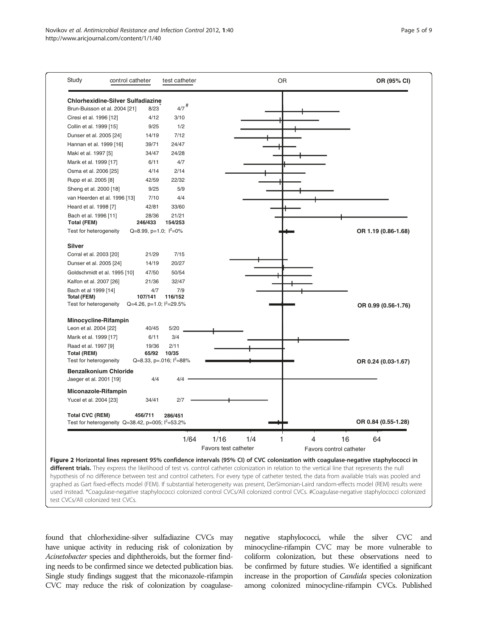<span id="page-4-0"></span>

found that chlorhexidine-silver sulfadiazine CVCs may have unique activity in reducing risk of colonization by Acinetobacter species and diphtheroids, but the former finding needs to be confirmed since we detected publication bias. Single study findings suggest that the miconazole-rifampin CVC may reduce the risk of colonization by coagulase-

negative staphylococci, while the silver CVC and minocycline-rifampin CVC may be more vulnerable to coliform colonization, but these observations need to be confirmed by future studies. We identified a significant increase in the proportion of Candida species colonization among colonized minocycline-rifampin CVCs. Published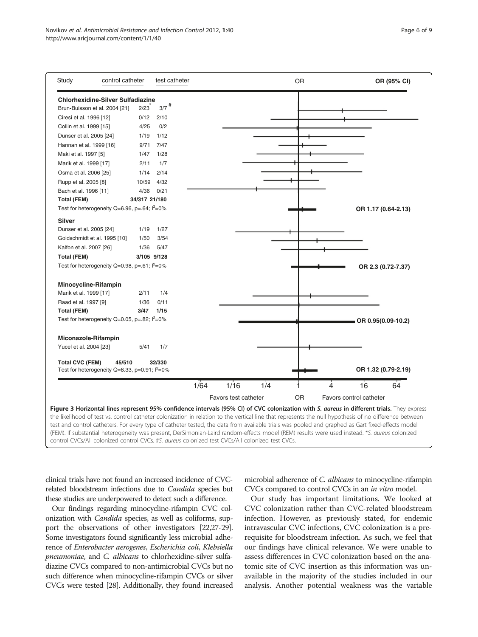<span id="page-5-0"></span>

control CVCs/All colonized control CVCs. #S. aureus colonized test CVCs/All colonized test CVCs.

clinical trials have not found an increased incidence of CVCrelated bloodstream infections due to Candida species but these studies are underpowered to detect such a difference.

Our findings regarding minocycline-rifampin CVC colonization with Candida species, as well as coliforms, support the observations of other investigators [[22,27-29](#page-8-0)]. Some investigators found significantly less microbial adherence of Enterobacter aerogenes, Escherichia coli, Klebsiella pneumoniae, and C. albicans to chlorhexidine-silver sulfadiazine CVCs compared to non-antimicrobial CVCs but no such difference when minocycline-rifampin CVCs or silver CVCs were tested [\[28\]](#page-8-0). Additionally, they found increased

microbial adherence of *C. albicans* to minocycline-rifampin CVCs compared to control CVCs in an in vitro model.

Our study has important limitations. We looked at CVC colonization rather than CVC-related bloodstream infection. However, as previously stated, for endemic intravascular CVC infections, CVC colonization is a prerequisite for bloodstream infection. As such, we feel that our findings have clinical relevance. We were unable to assess differences in CVC colonization based on the anatomic site of CVC insertion as this information was unavailable in the majority of the studies included in our analysis. Another potential weakness was the variable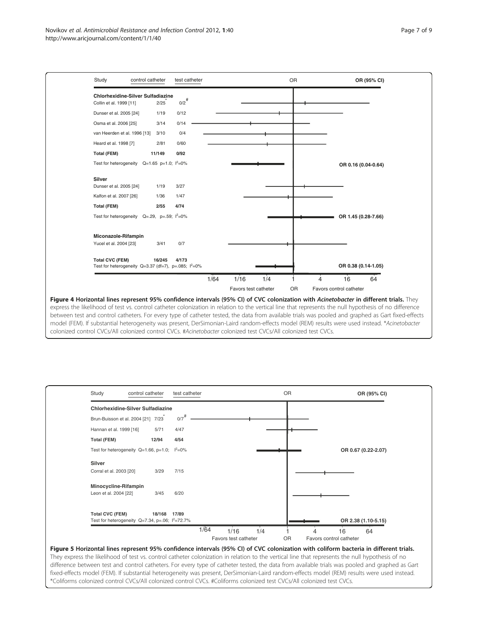<span id="page-6-0"></span>



They express the likelihood of test vs. control catheter colonization in relation to the vertical line that represents the null hypothesis of no difference between test and control catheters. For every type of catheter tested, the data from available trials was pooled and graphed as Gart fixed-effects model (FEM). If substantial heterogeneity was present, DerSimonian-Laird random-effects model (REM) results were used instead. \*Coliforms colonized control CVCs/All colonized control CVCs. #Coliforms colonized test CVCs/All colonized test CVCs.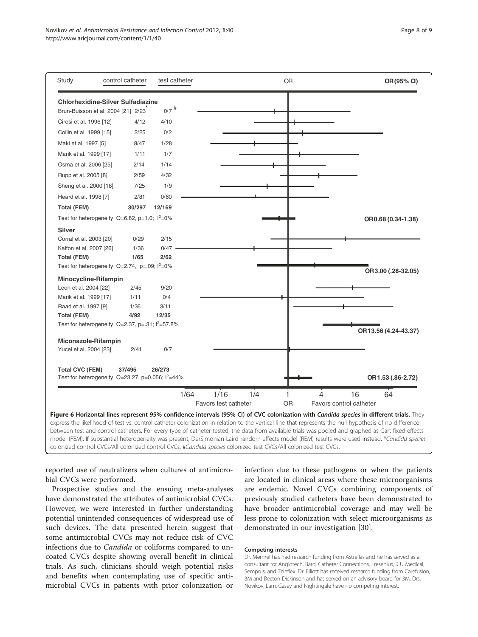<span id="page-7-0"></span>

express the likelihood of test vs. control catheter colonization in relation to the vertical line that represents the null hypothesis of no difference between test and control catheters. For every type of catheter tested, the data from available trials was pooled and graphed as Gart fixed-effects model (FEM). If substantial heterogeneity was present, DerSimonian-Laird random-effects model (REM) results were used instead. \*Candida species colonized control CVCs/All colonized control CVCs. #Candida species colonized test CVCs/All colonized test CVCs.

reported use of neutralizers when cultures of antimicrobial CVCs were performed.

Prospective studies and the ensuing meta-analyses have demonstrated the attributes of antimicrobial CVCs. However, we were interested in further understanding potential unintended consequences of widespread use of such devices. The data presented herein suggest that some antimicrobial CVCs may not reduce risk of CVC infections due to *Candida* or coliforms compared to uncoated CVCs despite showing overall benefit in clinical trials. As such, clinicians should weigh potential risks and benefits when contemplating use of specific antimicrobial CVCs in patients with prior colonization or

infection due to these pathogens or when the patients are located in clinical areas where these microorganisms are endemic. Novel CVCs combining components of previously studied catheters have been demonstrated to have broader antimicrobial coverage and may well be less prone to colonization with select microorganisms as demonstrated in our investigation [[30](#page-8-0)].

## Competing interests

Dr. Mermel has had research funding from Astrellas and he has served as a consultant for Angiotech, Bard, Catheter Connections, Fresenius, ICU Medical, Semprus, and Teleflex. Dr. Elliott has received research funding from Carefusion, 3M and Becton Dickinson and has served on an advisory board for 3M. Drs. Novikov, Lam, Casey and Nightingale have no competing interest.